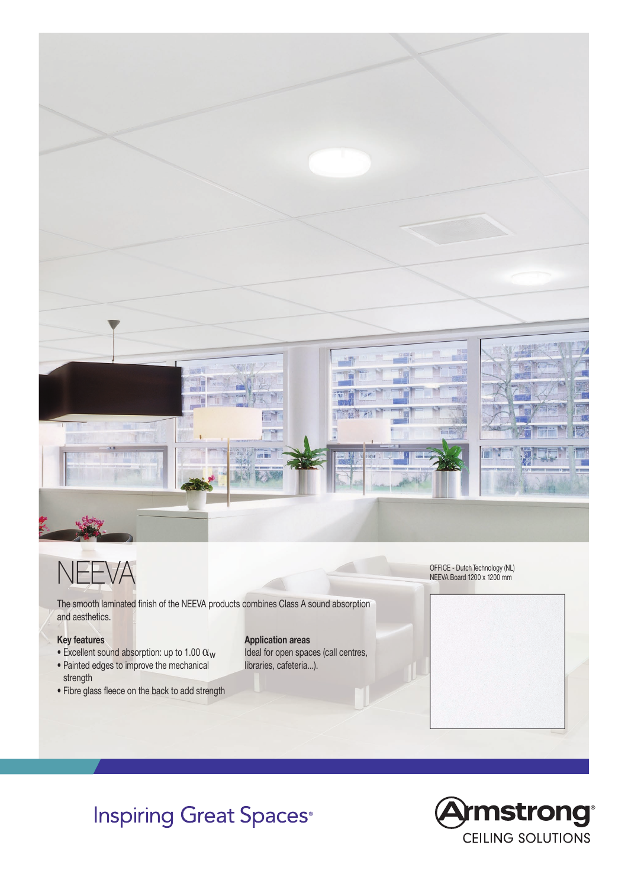

## NEEVA

The smooth laminated finish of the NEEVA products combines Class A sound absorption and aesthetics.

## **Key features**

- Excellent sound absorption: up to 1.00  $\alpha_w$
- Painted edges to improve the mechanical strength
- Fibre glass fleece on the back to add strength

## **Application areas**

Ideal for open spaces (call centres, libraries, cafeteria...).

OFFICE - Dutch Technology (NL) NEEVA Board 1200 x 1200 mm



## **Inspiring Great Spaces**®